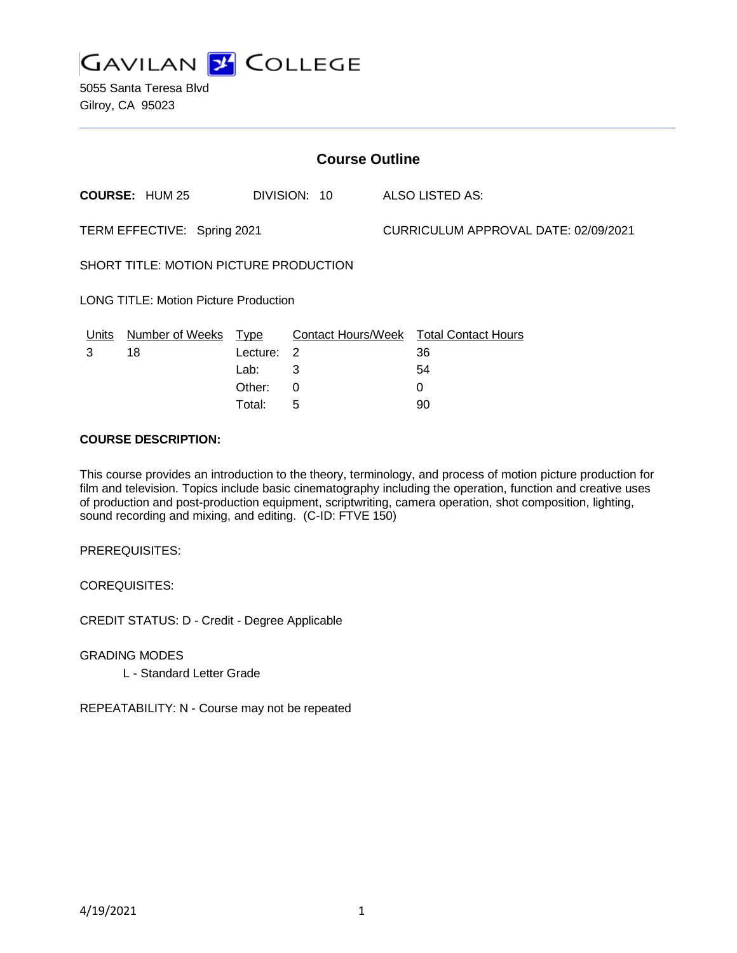

5055 Santa Teresa Blvd Gilroy, CA 95023

| <b>Course Outline</b>                        |                       |             |              |  |                                        |  |
|----------------------------------------------|-----------------------|-------------|--------------|--|----------------------------------------|--|
|                                              | <b>COURSE: HUM 25</b> |             | DIVISION: 10 |  | ALSO LISTED AS:                        |  |
| TERM EFFECTIVE: Spring 2021                  |                       |             |              |  | CURRICULUM APPROVAL DATE: 02/09/2021   |  |
| SHORT TITLE: MOTION PICTURE PRODUCTION       |                       |             |              |  |                                        |  |
| <b>LONG TITLE: Motion Picture Production</b> |                       |             |              |  |                                        |  |
| Units                                        | Number of Weeks       | <u>Type</u> |              |  | Contact Hours/Week Total Contact Hours |  |
| 3                                            | 18                    | Lecture:    | 2            |  | 36                                     |  |
|                                              |                       | Lab:        | 3            |  | 54                                     |  |
|                                              |                       | Other:      | 0            |  | 0                                      |  |
|                                              |                       | Total:      | 5            |  | 90                                     |  |

#### **COURSE DESCRIPTION:**

This course provides an introduction to the theory, terminology, and process of motion picture production for film and television. Topics include basic cinematography including the operation, function and creative uses of production and post-production equipment, scriptwriting, camera operation, shot composition, lighting, sound recording and mixing, and editing. (C-ID: FTVE 150)

PREREQUISITES:

COREQUISITES:

CREDIT STATUS: D - Credit - Degree Applicable

GRADING MODES

L - Standard Letter Grade

REPEATABILITY: N - Course may not be repeated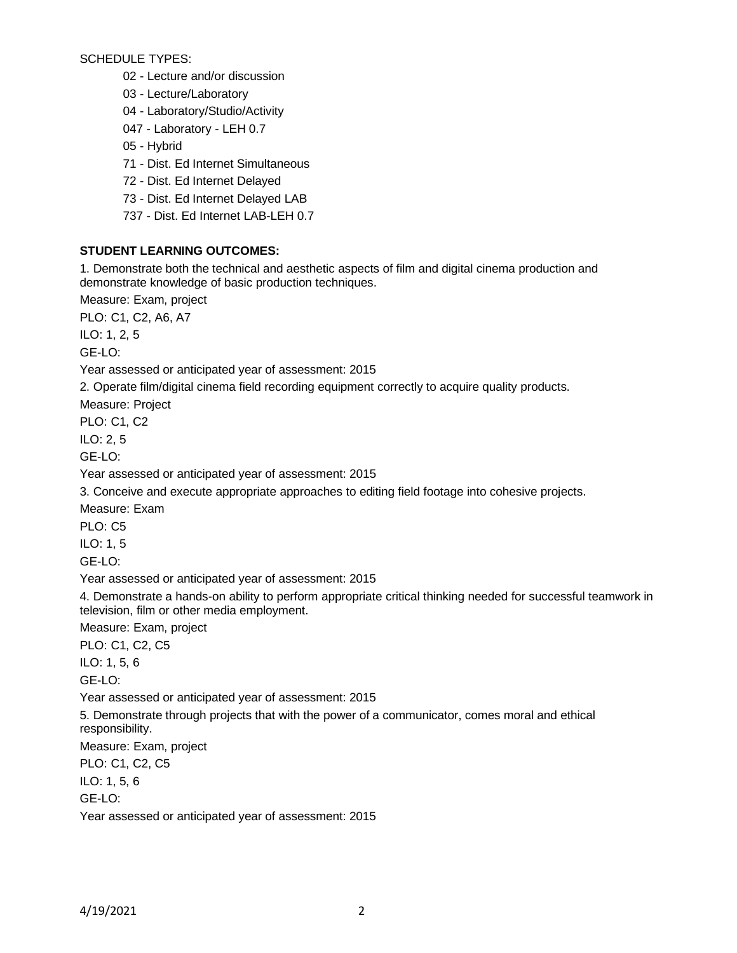SCHEDULE TYPES:

02 - Lecture and/or discussion

03 - Lecture/Laboratory

04 - Laboratory/Studio/Activity

047 - Laboratory - LEH 0.7

05 - Hybrid

71 - Dist. Ed Internet Simultaneous

72 - Dist. Ed Internet Delayed

73 - Dist. Ed Internet Delayed LAB

737 - Dist. Ed Internet LAB-LEH 0.7

## **STUDENT LEARNING OUTCOMES:**

1. Demonstrate both the technical and aesthetic aspects of film and digital cinema production and demonstrate knowledge of basic production techniques.

Measure: Exam, project

PLO: C1, C2, A6, A7

ILO: 1, 2, 5

GE-LO:

Year assessed or anticipated year of assessment: 2015

2. Operate film/digital cinema field recording equipment correctly to acquire quality products.

Measure: Project

PLO: C1, C2

ILO: 2, 5

GE-LO:

Year assessed or anticipated year of assessment: 2015

3. Conceive and execute appropriate approaches to editing field footage into cohesive projects.

Measure: Exam

PLO: C5

ILO: 1, 5

GE-LO:

Year assessed or anticipated year of assessment: 2015

4. Demonstrate a hands-on ability to perform appropriate critical thinking needed for successful teamwork in television, film or other media employment.

Measure: Exam, project

PLO: C1, C2, C5

ILO: 1, 5, 6

GE-LO:

Year assessed or anticipated year of assessment: 2015

5. Demonstrate through projects that with the power of a communicator, comes moral and ethical responsibility.

Measure: Exam, project

PLO: C1, C2, C5

ILO: 1, 5, 6

GE-LO:

Year assessed or anticipated year of assessment: 2015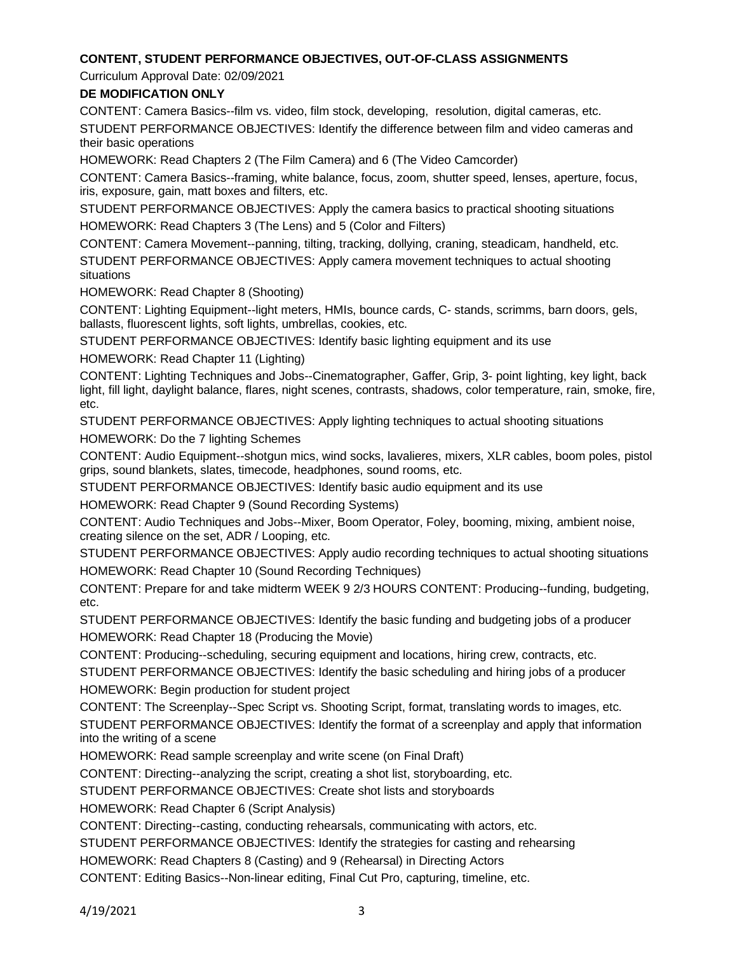## **CONTENT, STUDENT PERFORMANCE OBJECTIVES, OUT-OF-CLASS ASSIGNMENTS**

Curriculum Approval Date: 02/09/2021

# **DE MODIFICATION ONLY**

CONTENT: Camera Basics--film vs. video, film stock, developing, resolution, digital cameras, etc.

STUDENT PERFORMANCE OBJECTIVES: Identify the difference between film and video cameras and their basic operations

HOMEWORK: Read Chapters 2 (The Film Camera) and 6 (The Video Camcorder)

CONTENT: Camera Basics--framing, white balance, focus, zoom, shutter speed, lenses, aperture, focus, iris, exposure, gain, matt boxes and filters, etc.

STUDENT PERFORMANCE OBJECTIVES: Apply the camera basics to practical shooting situations HOMEWORK: Read Chapters 3 (The Lens) and 5 (Color and Filters)

CONTENT: Camera Movement--panning, tilting, tracking, dollying, craning, steadicam, handheld, etc. STUDENT PERFORMANCE OBJECTIVES: Apply camera movement techniques to actual shooting situations

HOMEWORK: Read Chapter 8 (Shooting)

CONTENT: Lighting Equipment--light meters, HMIs, bounce cards, C- stands, scrimms, barn doors, gels, ballasts, fluorescent lights, soft lights, umbrellas, cookies, etc.

STUDENT PERFORMANCE OBJECTIVES: Identify basic lighting equipment and its use

HOMEWORK: Read Chapter 11 (Lighting)

CONTENT: Lighting Techniques and Jobs--Cinematographer, Gaffer, Grip, 3- point lighting, key light, back light, fill light, daylight balance, flares, night scenes, contrasts, shadows, color temperature, rain, smoke, fire, etc.

STUDENT PERFORMANCE OBJECTIVES: Apply lighting techniques to actual shooting situations

HOMEWORK: Do the 7 lighting Schemes

CONTENT: Audio Equipment--shotgun mics, wind socks, lavalieres, mixers, XLR cables, boom poles, pistol grips, sound blankets, slates, timecode, headphones, sound rooms, etc.

STUDENT PERFORMANCE OBJECTIVES: Identify basic audio equipment and its use

HOMEWORK: Read Chapter 9 (Sound Recording Systems)

CONTENT: Audio Techniques and Jobs--Mixer, Boom Operator, Foley, booming, mixing, ambient noise, creating silence on the set, ADR / Looping, etc.

STUDENT PERFORMANCE OBJECTIVES: Apply audio recording techniques to actual shooting situations HOMEWORK: Read Chapter 10 (Sound Recording Techniques)

CONTENT: Prepare for and take midterm WEEK 9 2/3 HOURS CONTENT: Producing--funding, budgeting, etc.

STUDENT PERFORMANCE OBJECTIVES: Identify the basic funding and budgeting jobs of a producer HOMEWORK: Read Chapter 18 (Producing the Movie)

CONTENT: Producing--scheduling, securing equipment and locations, hiring crew, contracts, etc.

STUDENT PERFORMANCE OBJECTIVES: Identify the basic scheduling and hiring jobs of a producer HOMEWORK: Begin production for student project

CONTENT: The Screenplay--Spec Script vs. Shooting Script, format, translating words to images, etc.

STUDENT PERFORMANCE OBJECTIVES: Identify the format of a screenplay and apply that information into the writing of a scene

HOMEWORK: Read sample screenplay and write scene (on Final Draft)

CONTENT: Directing--analyzing the script, creating a shot list, storyboarding, etc.

STUDENT PERFORMANCE OBJECTIVES: Create shot lists and storyboards

HOMEWORK: Read Chapter 6 (Script Analysis)

CONTENT: Directing--casting, conducting rehearsals, communicating with actors, etc.

STUDENT PERFORMANCE OBJECTIVES: Identify the strategies for casting and rehearsing

HOMEWORK: Read Chapters 8 (Casting) and 9 (Rehearsal) in Directing Actors

CONTENT: Editing Basics--Non-linear editing, Final Cut Pro, capturing, timeline, etc.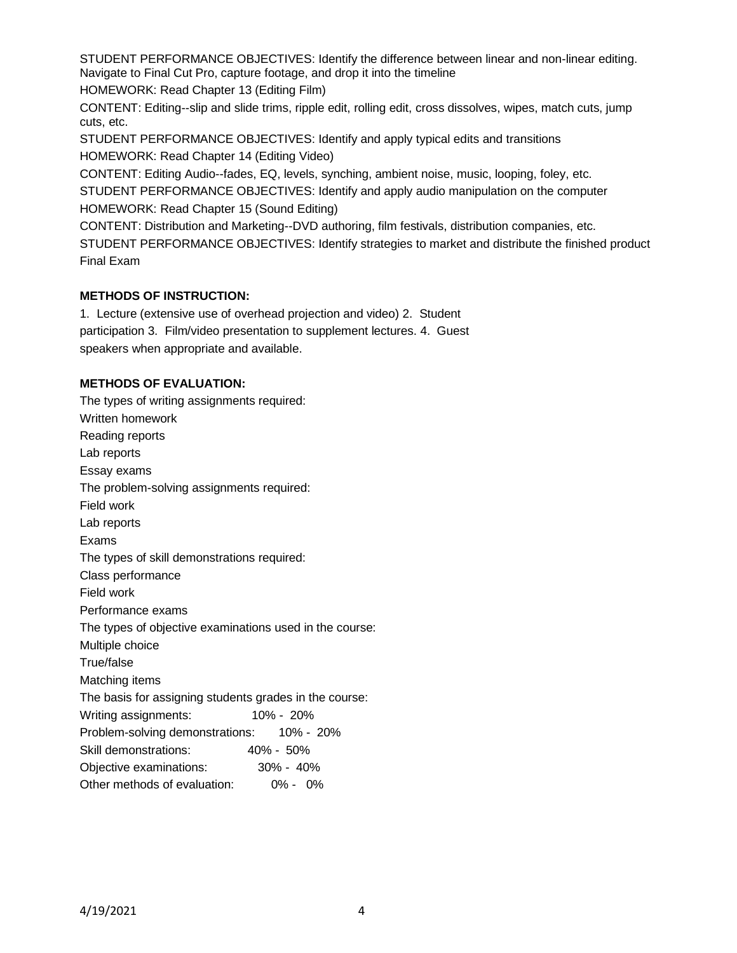STUDENT PERFORMANCE OBJECTIVES: Identify the difference between linear and non-linear editing. Navigate to Final Cut Pro, capture footage, and drop it into the timeline

HOMEWORK: Read Chapter 13 (Editing Film)

CONTENT: Editing--slip and slide trims, ripple edit, rolling edit, cross dissolves, wipes, match cuts, jump cuts, etc.

STUDENT PERFORMANCE OBJECTIVES: Identify and apply typical edits and transitions HOMEWORK: Read Chapter 14 (Editing Video)

CONTENT: Editing Audio--fades, EQ, levels, synching, ambient noise, music, looping, foley, etc.

STUDENT PERFORMANCE OBJECTIVES: Identify and apply audio manipulation on the computer HOMEWORK: Read Chapter 15 (Sound Editing)

CONTENT: Distribution and Marketing--DVD authoring, film festivals, distribution companies, etc.

STUDENT PERFORMANCE OBJECTIVES: Identify strategies to market and distribute the finished product Final Exam

# **METHODS OF INSTRUCTION:**

1. Lecture (extensive use of overhead projection and video) 2. Student participation 3. Film/video presentation to supplement lectures. 4. Guest speakers when appropriate and available.

# **METHODS OF EVALUATION:**

The types of writing assignments required: Written homework Reading reports Lab reports Essay exams The problem-solving assignments required: Field work Lab reports Exams The types of skill demonstrations required: Class performance Field work Performance exams The types of objective examinations used in the course: Multiple choice True/false Matching items The basis for assigning students grades in the course: Writing assignments: 10% - 20% Problem-solving demonstrations: 10% - 20% Skill demonstrations: 40% - 50% Objective examinations: 30% - 40% Other methods of evaluation: 0% - 0%